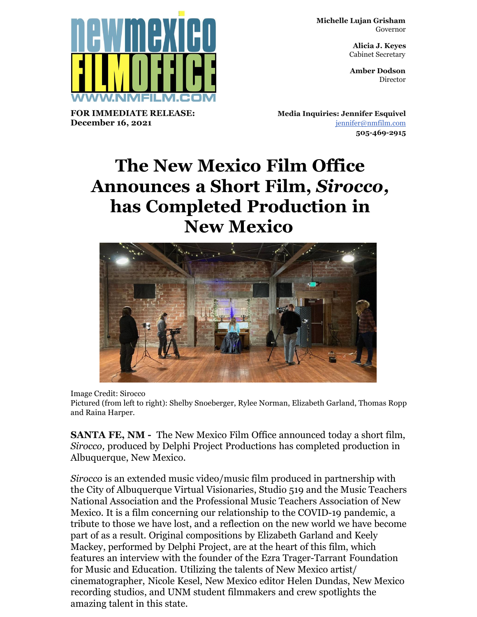**Michelle Lujan Grisham** Governor

> **Alicia J. Keyes** Cabinet Secretary

> **Amber Dodson Director**

**FOR IMMEDIATE RELEASE: December 16, 2021**

**Media Inquiries: Jennifer Esquivel** [jennifer@nmfilm.com](mailto:jennifer@nmfilm.com) **505-469-2915**

## **The New Mexico Film Office Announces a Short Film,** *Sirocco,* **has Completed Production in New Mexico**



Image Credit: Sirocco

Pictured (from left to right): Shelby Snoeberger, Rylee Norman, Elizabeth Garland, Thomas Ropp and Raina Harper.

**SANTA FE, NM -** The New Mexico Film Office announced today a short film, *Sirocco,* produced by Delphi Project Productions has completed production in Albuquerque, New Mexico.

*Sirocco* is an extended music video/music film produced in partnership with the City of Albuquerque Virtual Visionaries, Studio 519 and the Music Teachers National Association and the Professional Music Teachers Association of New Mexico. It is a film concerning our relationship to the COVID-19 pandemic, a tribute to those we have lost, and a reflection on the new world we have become part of as a result. Original compositions by Elizabeth Garland and Keely Mackey, performed by Delphi Project, are at the heart of this film, which features an interview with the founder of the Ezra Trager-Tarrant Foundation for Music and Education. Utilizing the talents of New Mexico artist/ cinematographer, Nicole Kesel, New Mexico editor Helen Dundas, New Mexico recording studios, and UNM student filmmakers and crew spotlights the amazing talent in this state.